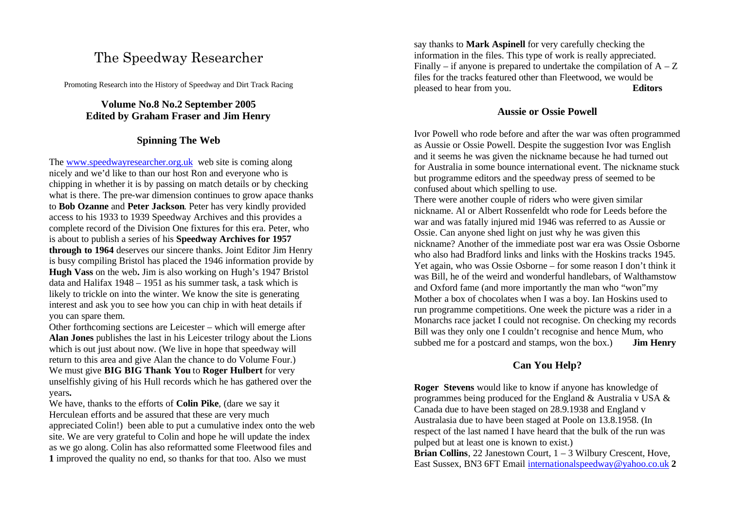# The Speedway Researcher

Promoting Research into the History of Speedway and Dirt Track Racing

# **Volume No.8 No.2 September 2005 Edited by Graham Fraser and Jim Henry**

## **Spinning The Web**

The www.speedwayresearcher.org.uk web site is coming along nicely and we'd like to than our host Ron and everyone who is chipping in whether it is by passing on match details or by checking what is there. The pre-war dimension continues to grow apace thanks to **Bob Ozanne** and **Peter Jackson**. Peter has very kindly provided access to his 1933 to 1939 Speedway Archives and this provides a complete record of the Division One fixtures for this era. Peter, who is about to publish a series of his **Speedway Archives for 1957 through to 1964** deserves our sincere thanks. Joint Editor Jim Henry is busy compiling Bristol has placed the 1946 information provide by **Hugh Vass** on the web**.** Jim is also working on Hugh's 1947 Bristol data and Halifax 1948 – 1951 as his summer task, a task which is likely to trickle on into the winter. We know the site is generating interest and ask you to see how you can chip in with heat details if you can spare them.

Other forthcoming sections are Leicester – which will emerge after **Alan Jones** publishes the last in his Leicester trilogy about the Lions which is out just about now. (We live in hope that speedway will return to this area and give Alan the chance to do Volume Four.) We must give **BIG BIG Thank You** to **Roger Hulbert** for very unselfishly giving of his Hull records which he has gathered over the years**.**

We have, thanks to the efforts of **Colin Pike**, (dare we say it Herculean efforts and be assured that these are very much appreciated Colin!) been able to put a cumulative index onto the web site. We are very grateful to Colin and hope he will update the index as we go along. Colin has also reformatted some Fleetwood files and **1** improved the quality no end, so thanks for that too. Also we must

say thanks to **Mark Aspinell** for very carefully checking the information in the files. This type of work is really appreciated. Finally – if anyone is prepared to undertake the compilation of  $A - Z$ files for the tracks featured other than Fleetwood, we would be pleased to hear from you. **Editors**

### **Aussie or Ossie Powell**

Ivor Powell who rode before and after the war was often programmed as Aussie or Ossie Powell. Despite the suggestion Ivor was English and it seems he was given the nickname because he had turned out for Australia in some bounce international event. The nickname stuck but programme editors and the speedway press of seemed to be confused about which spelling to use.

There were another couple of riders who were given similar nickname. Al or Albert Rossenfeldt who rode for Leeds before the war and was fatally injured mid 1946 was referred to as Aussie or Ossie. Can anyone shed light on just why he was given this nickname? Another of the immediate post war era was Ossie Osborne who also had Bradford links and links with the Hoskins tracks 1945. Yet again, who was Ossie Osborne – for some reason I don't think it was Bill, he of the weird and wonderful handlebars, of Walthamstow and Oxford fame (and more importantly the man who "won"my Mother a box of chocolates when I was a boy. Ian Hoskins used to run programme competitions. One week the picture was a rider in a Monarchs race jacket I could not recognise. On checking my records Bill was they only one I couldn't recognise and hence Mum, who subbed me for a postcard and stamps, won the box.) **Jim Henry**

# **Can You Help?**

**Roger Stevens** would like to know if anyone has knowledge of programmes being produced for the England & Australia v USA & Canada due to have been staged on 28.9.1938 and England v Australasia due to have been staged at Poole on 13.8.1958. (In respect of the last named I have heard that the bulk of the run was pulped but at least one is known to exist.)

**Brian Collins**, 22 Janestown Court, 1 – 3 Wilbury Crescent, Hove, East Sussex, BN3 6FT Email internationalspeedway@yahoo.co.uk **2**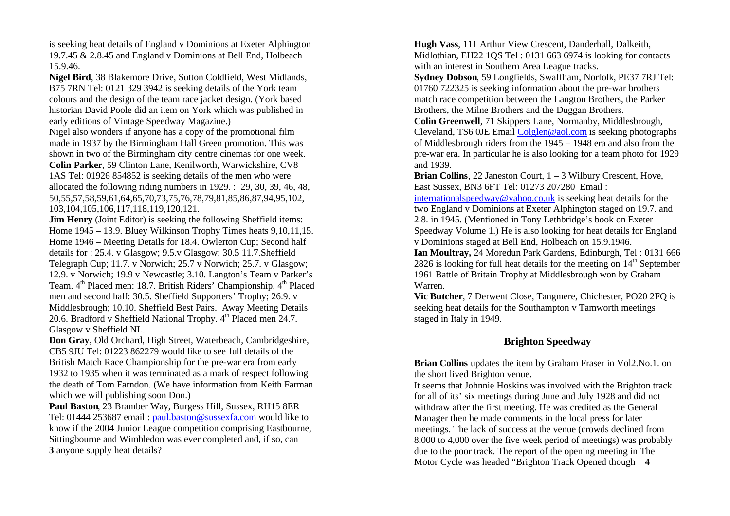is seeking heat details of England v Dominions at Exeter Alphington 19.7.45 & 2.8.45 and England v Dominions at Bell End, Holbeach 15.9.46.

**Nigel Bird**, 38 Blakemore Drive, Sutton Coldfield, West Midlands, B75 7RN Tel: 0121 329 3942 is seeking details of the York team colours and the design of the team race jacket design. (York based historian David Poole did an item on York which was published in early editions of Vintage Speedway Magazine.)

Nigel also wonders if anyone has a copy of the promotional film made in 1937 by the Birmingham Hall Green promotion. This was shown in two of the Birmingham city centre cinemas for one week. **Colin Parker**, 59 Clinton Lane, Kenilworth, Warwickshire, CV8 1AS Tel: 01926 854852 is seeking details of the men who were allocated the following riding numbers in 1929. : 29, 30, 39, 46, 48, 50,55,57,58,59,61,64,65,70,73,75,76,78,79,81,85,86,87,94,95,102, 103,104,105,106,117,118,119,120,121.

**Jim Henry** (Joint Editor) is seeking the following Sheffield items: Home 1945 – 13.9. Bluey Wilkinson Trophy Times heats 9,10,11,15. Home 1946 – Meeting Details for 18.4. Owlerton Cup; Second half details for : 25.4. v Glasgow; 9.5.v Glasgow; 30.5 11.7.Sheffield Telegraph Cup; 11.7. v Norwich; 25.7 v Norwich; 25.7. v Glasgow; 12.9. v Norwich; 19.9 v Newcastle; 3.10. Langton's Team v Parker's Team. 4<sup>th</sup> Placed men: 18.7. British Riders' Championship. 4<sup>th</sup> Placed men and second half: 30.5. Sheffield Supporters' Trophy; 26.9. v Middlesbrough; 10.10. Sheffield Best Pairs. Away Meeting Details 20.6. Bradford v Sheffield National Trophy.  $4<sup>th</sup>$  Placed men 24.7. Glasgow v Sheffield NL.

**Don Gray**, Old Orchard, High Street, Waterbeach, Cambridgeshire, CB5 9JU Tel: 01223 862279 would like to see full details of the British Match Race Championship for the pre-war era from early 1932 to 1935 when it was terminated as a mark of respect following the death of Tom Farndon. (We have information from Keith Farman which we will publishing soon Don.)

**Paul Baston**, 23 Bramber Way, Burgess Hill, Sussex, RH15 8ER Tel: 01444 253687 email : paul.baston@sussexfa.com would like to know if the 2004 Junior League competition comprising Eastbourne, Sittingbourne and Wimbledon was ever completed and, if so, can **3** anyone supply heat details?

**Hugh Vass**, 111 Arthur View Crescent, Danderhall, Dalkeith, Midlothian, EH22 1QS Tel : 0131 663 6974 is looking for contacts with an interest in Southern Area League tracks.

**Sydney Dobson**, 59 Longfields, Swaffham, Norfolk, PE37 7RJ Tel: 01760 722325 is seeking information about the pre-war brothers match race competition between the Langton Brothers, the Parker Brothers, the Milne Brothers and the Duggan Brothers.

**Colin Greenwell**, 71 Skippers Lane, Normanby, Middlesbrough, Cleveland, TS6 0JE Email Colglen@aol.com is seeking photographs of Middlesbrough riders from the 1945 – 1948 era and also from the pre-war era. In particular he is also looking for a team photo for 1929 and 1939.

**Brian Collins**, 22 Janeston Court,  $1 - 3$  Wilbury Crescent, Hove, East Sussex, BN3 6FT Tel: 01273 207280 Email :

internationalspeedway@yahoo.co.uk is seeking heat details for the two England v Dominions at Exeter Alphington staged on 19.7. and 2.8. in 1945. (Mentioned in Tony Lethbridge's book on Exeter Speedway Volume 1.) He is also looking for heat details for England v Dominions staged at Bell End, Holbeach on 15.9.1946.

**Ian Moultray,** 24 Moredun Park Gardens, Edinburgh, Tel : 0131 666 2826 is looking for full heat details for the meeting on  $14<sup>th</sup>$  September 1961 Battle of Britain Trophy at Middlesbrough won by Graham Warren.

**Vic Butcher**, 7 Derwent Close, Tangmere, Chichester, PO20 2FQ is seeking heat details for the Southampton v Tamworth meetings staged in Italy in 1949.

## **Brighton Speedway**

**Brian Collins** updates the item by Graham Fraser in Vol2.No.1. on the short lived Brighton venue.

It seems that Johnnie Hoskins was involved with the Brighton track for all of its' six meetings during June and July 1928 and did not withdraw after the first meeting. He was credited as the General Manager then he made comments in the local press for later meetings. The lack of success at the venue (crowds declined from 8,000 to 4,000 over the five week period of meetings) was probably due to the poor track. The report of the opening meeting in The Motor Cycle was headed "Brighton Track Opened though **4**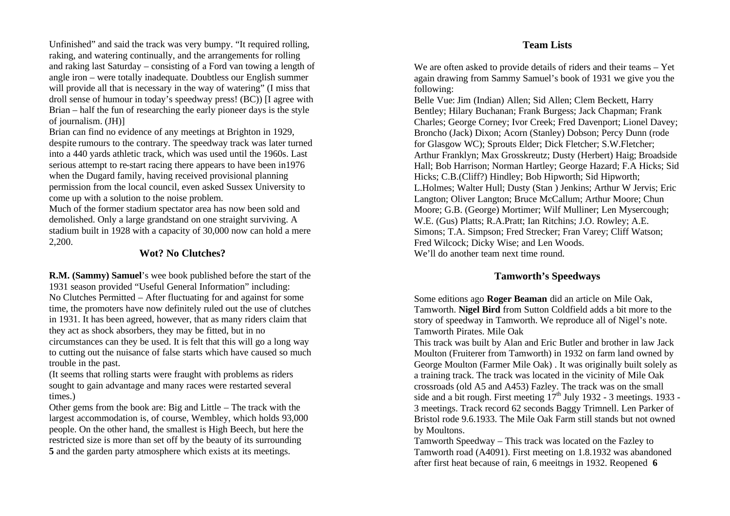#### **Team Lists**

Unfinished" and said the track was very bumpy. "It required rolling, raking, and watering continually, and the arrangements for rolling and raking last Saturday – consisting of a Ford van towing a length of angle iron – were totally inadequate. Doubtless our English summer will provide all that is necessary in the way of watering" (I miss that droll sense of humour in today's speedway press! (BC)) [I agree with Brian – half the fun of researching the early pioneer days is the style of journalism. (JH)]

Brian can find no evidence of any meetings at Brighton in 1929, despite rumours to the contrary. The speedway track was later turned into a 440 yards athletic track, which was used until the 1960s. Last serious attempt to re-start racing there appears to have been in1976 when the Dugard family, having received provisional planning permission from the local council, even asked Sussex University to come up with a solution to the noise problem.

Much of the former stadium spectator area has now been sold and demolished. Only a large grandstand on one straight surviving. A stadium built in 1928 with a capacity of 30,000 now can hold a mere 2,200.

### **Wot? No Clutches?**

**R.M. (Sammy) Samuel**'s wee book published before the start of the 1931 season provided "Useful General Information" including: No Clutches Permitted – After fluctuating for and against for some time, the promoters have now definitely ruled out the use of clutches in 1931. It has been agreed, however, that as many riders claim that they act as shock absorbers, they may be fitted, but in no circumstances can they be used. It is felt that this will go a long way to cutting out the nuisance of false starts which have caused so much trouble in the past.

(It seems that rolling starts were fraught with problems as riders sought to gain advantage and many races were restarted several times.)

Other gems from the book are: Big and Little – The track with the largest accommodation is, of course, Wembley, which holds 93,000 people. On the other hand, the smallest is High Beech, but here the restricted size is more than set off by the beauty of its surrounding **5** and the garden party atmosphere which exists at its meetings.

We are often asked to provide details of riders and their teams – Yet again drawing from Sammy Samuel's book of 1931 we give you the following:

Belle Vue: Jim (Indian) Allen; Sid Allen; Clem Beckett, Harry Bentley; Hilary Buchanan; Frank Burgess; Jack Chapman; Frank Charles; George Corney; Ivor Creek; Fred Davenport; Lionel Davey; Broncho (Jack) Dixon; Acorn (Stanley) Dobson; Percy Dunn (rode for Glasgow WC); Sprouts Elder; Dick Fletcher; S.W.Fletcher; Arthur Franklyn; Max Grosskreutz; Dusty (Herbert) Haig; Broadside Hall; Bob Harrison; Norman Hartley; George Hazard; F.A Hicks; Sid Hicks; C.B.(Cliff?) Hindley; Bob Hipworth; Sid Hipworth; L.Holmes; Walter Hull; Dusty (Stan ) Jenkins; Arthur W Jervis; Eric Langton; Oliver Langton; Bruce McCallum; Arthur Moore; Chun Moore; G.B. (George) Mortimer; Wilf Mulliner; Len Mysercough; W.E. (Gus) Platts; R.A.Pratt; Ian Ritchins; J.O. Rowley; A.E. Simons; T.A. Simpson; Fred Strecker; Fran Varey; Cliff Watson; Fred Wilcock; Dicky Wise; and Len Woods. We'll do another team next time round.

# **Tamworth's Speedways**

Some editions ago **Roger Beaman** did an article on Mile Oak, Tamworth. **Nigel Bird** from Sutton Coldfield adds a bit more to the story of speedway in Tamworth. We reproduce all of Nigel's note. Tamworth Pirates. Mile Oak

This track was built by Alan and Eric Butler and brother in law Jack Moulton (Fruiterer from Tamworth) in 1932 on farm land owned by George Moulton (Farmer Mile Oak) . It was originally built solely as a training track. The track was located in the vicinity of Mile Oak crossroads (old A5 and A453) Fazley. The track was on the small side and a bit rough. First meeting  $17<sup>th</sup>$  July 1932 - 3 meetings. 1933 -3 meetings. Track record 62 seconds Baggy Trimnell. Len Parker of Bristol rode 9.6.1933. The Mile Oak Farm still stands but not owned by Moultons.

Tamworth Speedway – This track was located on the Fazley to Tamworth road (A4091). First meeting on 1.8.1932 was abandoned after first heat because of rain, 6 meeitngs in 1932. Reopened **6**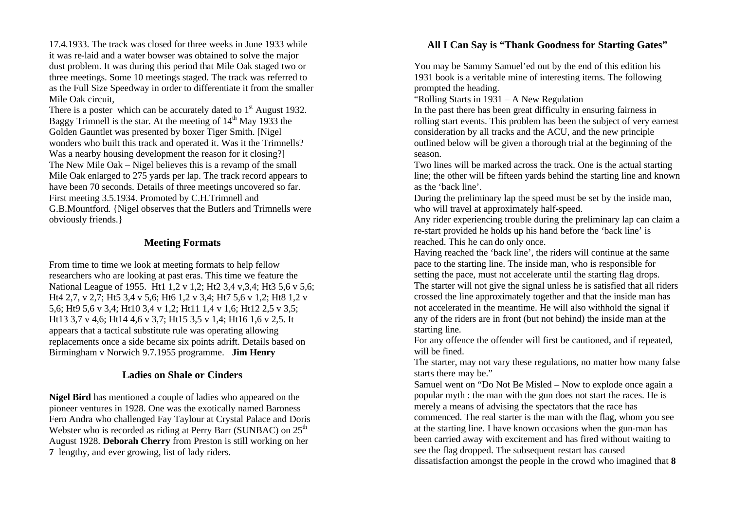17.4.1933. The track was closed for three weeks in June 1933 while it was re-laid and a water bowser was obtained to solve the major dust problem. It was during this period that Mile Oak staged two or three meetings. Some 10 meetings staged. The track was referred to as the Full Size Speedway in order to differentiate it from the smaller Mile Oak circuit,

There is a poster which can be accurately dated to  $1<sup>st</sup>$  August 1932. Baggy Trimnell is the star. At the meeting of  $14<sup>th</sup>$  May 1933 the Golden Gauntlet was presented by boxer Tiger Smith. [Nigel wonders who built this track and operated it. Was it the Trimnells? Was a nearby housing development the reason for it closing? The New Mile Oak – Nigel believes this is a revamp of the small Mile Oak enlarged to 275 yards per lap. The track record appears to have been 70 seconds. Details of three meetings uncovered so far. First meeting 3.5.1934. Promoted by C.H.Trimnell and G.B.Mountford. {Nigel observes that the Butlers and Trimnells were obviously friends.}

#### **Meeting Formats**

From time to time we look at meeting formats to help fellow researchers who are looking at past eras. This time we feature the National League of 1955. Ht1 1,2 v 1,2; Ht2 3,4 v,3,4; Ht3 5,6 v 5,6; Ht4 2,7, v 2,7; Ht5 3,4 v 5,6; Ht6 1,2 v 3,4; Ht7 5,6 v 1,2; Ht8 1,2 v 5,6; Ht9 5,6 v 3,4; Ht10 3,4 v 1,2; Ht11 1,4 v 1,6; Ht12 2,5 v 3,5; Ht13 3,7 v 4,6; Ht14 4,6 v 3,7; Ht15 3,5 v 1,4; Ht16 1,6 v 2,5. It appears that a tactical substitute rule was operating allowing replacements once a side became six points adrift. Details based on Birmingham v Norwich 9.7.1955 programme. **Jim Henry**

#### **Ladies on Shale or Cinders**

**Nigel Bird** has mentioned a couple of ladies who appeared on the pioneer ventures in 1928. One was the exotically named Baroness Fern Andra who challenged Fay Taylour at Crystal Palace and Doris Webster who is recorded as riding at Perry Barr (SUNBAC) on  $25<sup>th</sup>$ August 1928. **Deborah Cherry** from Preston is still working on her **7** lengthy, and ever growing, list of lady riders.

## **All I Can Say is "Thank Goodness for Starting Gates"**

You may be Sammy Samuel'ed out by the end of this edition his 1931 book is a veritable mine of interesting items. The following prompted the heading.

"Rolling Starts in 1931 – A New Regulation

In the past there has been great difficulty in ensuring fairness in rolling start events. This problem has been the subject of very earnest consideration by all tracks and the ACU, and the new principle outlined below will be given a thorough trial at the beginning of the season.

Two lines will be marked across the track. One is the actual starting line; the other will be fifteen yards behind the starting line and known as the 'back line'.

During the preliminary lap the speed must be set by the inside man, who will travel at approximately half-speed.

Any rider experiencing trouble during the preliminary lap can claim a re-start provided he holds up his hand before the 'back line' is reached. This he can do only once.

Having reached the 'back line', the riders will continue at the same pace to the starting line. The inside man, who is responsible for setting the pace, must not accelerate until the starting flag drops. The starter will not give the signal unless he is satisfied that all riders crossed the line approximately together and that the inside man has not accelerated in the meantime. He will also withhold the signal if any of the riders are in front (but not behind) the inside man at the starting line.

For any offence the offender will first be cautioned, and if repeated, will be fined.

The starter, may not vary these regulations, no matter how many false starts there may be."

Samuel went on "Do Not Be Misled – Now to explode once again a popular myth : the man with the gun does not start the races. He is merely a means of advising the spectators that the race has commenced. The real starter is the man with the flag, whom you see at the starting line. I have known occasions when the gun-man has been carried away with excitement and has fired without waiting to see the flag dropped. The subsequent restart has caused dissatisfaction amongst the people in the crowd who imagined that **8**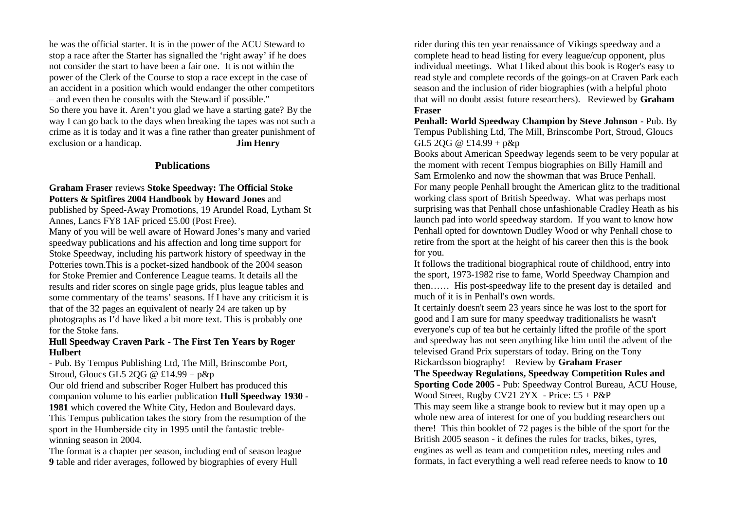he was the official starter. It is in the power of the ACU Steward to stop a race after the Starter has signalled the 'right away' if he does not consider the start to have been a fair one. It is not within the power of the Clerk of the Course to stop a race except in the case of an accident in a position which would endanger the other competitors – and even then he consults with the Steward if possible." So there you have it. Aren't you glad we have a starting gate? By the way I can go back to the days when breaking the tapes was not such a crime as it is today and it was a fine rather than greater punishment of exclusion or a handicap. **Jim Henry**

#### **Publications**

#### **Graham Fraser** reviews **Stoke Speedway: The Official Stoke Potters & Spitfires 2004 Handbook** by **Howard Jones** and

published by Speed-Away Promotions, 19 Arundel Road, Lytham St Annes, Lancs FY8 1AF priced £5.00 (Post Free).

Many of you will be well aware of Howard Jones's many and varied speedway publications and his affection and long time support for Stoke Speedway, including his partwork history of speedway in the Potteries town.This is a pocket-sized handbook of the 2004 season for Stoke Premier and Conference League teams. It details all the results and rider scores on single page grids, plus league tables and some commentary of the teams' seasons. If I have any criticism it is that of the 32 pages an equivalent of nearly 24 are taken up by photographs as I'd have liked a bit more text. This is probably one for the Stoke fans.

#### **Hull Speedway Craven Park - The First Ten Years by Roger Hulbert**

- Pub. By Tempus Publishing Ltd, The Mill, Brinscombe Port, Stroud, Gloucs GL5 2QG  $@$  £14.99 + p&p

Our old friend and subscriber Roger Hulbert has produced this companion volume to his earlier publication **Hull Speedway 1930 - 1981** which covered the White City, Hedon and Boulevard days. This Tempus publication takes the story from the resumption of the sport in the Humberside city in 1995 until the fantastic treblewinning season in 2004.

The format is a chapter per season, including end of season league **9** table and rider averages, followed by biographies of every Hull

rider during this ten year renaissance of Vikings speedway and a complete head to head listing for every league/cup opponent, plus individual meetings. What I liked about this book is Roger's easy to read style and complete records of the goings-on at Craven Park each season and the inclusion of rider biographies (with a helpful photo that will no doubt assist future researchers). Reviewed by **Graham Fraser**

**Penhall: World Speedway Champion by Steve Johnson -** Pub. By Tempus Publishing Ltd, The Mill, Brinscombe Port, Stroud, Gloucs GL5 2QG @ £14.99 + p&p

Books about American Speedway legends seem to be very popular at the moment with recent Tempus biographies on Billy Hamill and Sam Ermolenko and now the showman that was Bruce Penhall. For many people Penhall brought the American glitz to the traditional working class sport of British Speedway. What was perhaps most surprising was that Penhall chose unfashionable Cradley Heath as his launch pad into world speedway stardom. If you want to know how Penhall opted for downtown Dudley Wood or why Penhall chose to retire from the sport at the height of his career then this is the book for you.

It follows the traditional biographical route of childhood, entry into the sport, 1973-1982 rise to fame, World Speedway Champion and then…… His post-speedway life to the present day is detailed and much of it is in Penhall's own words.

It certainly doesn't seem 23 years since he was lost to the sport for good and I am sure for many speedway traditionalists he wasn't everyone's cup of tea but he certainly lifted the profile of the sport and speedway has not seen anything like him until the advent of the televised Grand Prix superstars of today. Bring on the Tony Rickardsson biography! Review by **Graham Fraser**

**The Speedway Regulations, Speedway Competition Rules and Sporting Code 2005** - Pub: Speedway Control Bureau, ACU House, Wood Street, Rugby CV21 2YX - Price: £5 + P&P

This may seem like a strange book to review but it may open up a whole new area of interest for one of you budding researchers out there! This thin booklet of 72 pages is the bible of the sport for the British 2005 season - it defines the rules for tracks, bikes, tyres, engines as well as team and competition rules, meeting rules and formats, in fact everything a well read referee needs to know to **10**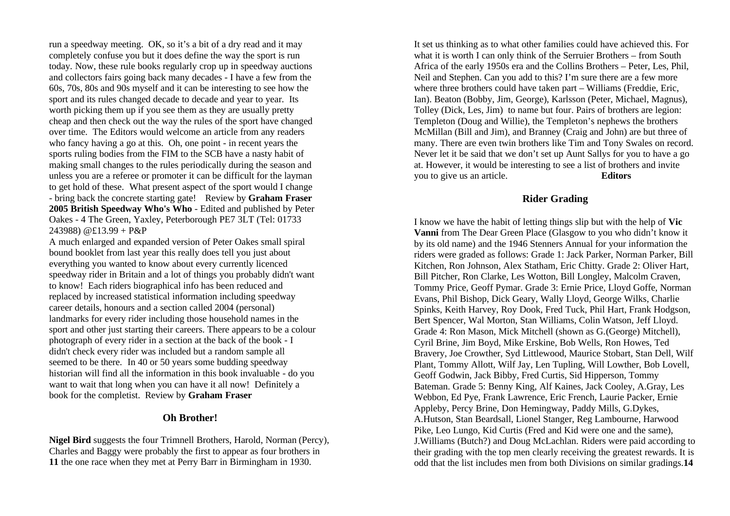run a speedway meeting. OK, so it's a bit of a dry read and it may completely confuse you but it does define the way the sport is run today. Now, these rule books regularly crop up in speedway auctions and collectors fairs going back many decades - I have a few from the 60s, 70s, 80s and 90s myself and it can be interesting to see how the sport and its rules changed decade to decade and year to year. Its worth picking them up if you see them as they are usually pretty cheap and then check out the way the rules of the sport have changed over time. The Editors would welcome an article from any readers who fancy having a go at this. Oh, one point - in recent years the sports ruling bodies from the FIM to the SCB have a nasty habit of making small changes to the rules periodically during the season and unless you are a referee or promoter it can be difficult for the layman to get hold of these. What present aspect of the sport would I change - bring back the concrete starting gate! Review by **Graham Fraser 2005 British Speedway Who's Who** - Edited and published by Peter Oakes - 4 The Green, Yaxley, Peterborough PE7 3LT (Tel: 01733 243988) @£13.99 + P&P

A much enlarged and expanded version of Peter Oakes small spiral bound booklet from last year this really does tell you just about everything you wanted to know about every currently licenced speedway rider in Britain and a lot of things you probably didn't want to know! Each riders biographical info has been reduced and replaced by increased statistical information including speedway career details, honours and a section called 2004 (personal) landmarks for every rider including those household names in the sport and other just starting their careers. There appears to be a colour photograph of every rider in a section at the back of the book - I didn't check every rider was included but a random sample all seemed to be there. In 40 or 50 years some budding speedway historian will find all the information in this book invaluable - do you want to wait that long when you can have it all now! Definitely a book for the completist. Review by **Graham Fraser**

## **Oh Brother!**

**Nigel Bird** suggests the four Trimnell Brothers, Harold, Norman (Percy), Charles and Baggy were probably the first to appear as four brothers in **11** the one race when they met at Perry Barr in Birmingham in 1930.

It set us thinking as to what other families could have achieved this. For what it is worth I can only think of the Serruier Brothers – from South Africa of the early 1950s era and the Collins Brothers – Peter, Les, Phil, Neil and Stephen. Can you add to this? I'm sure there are a few more where three brothers could have taken part – Williams (Freddie, Eric, Ian). Beaton (Bobby, Jim, George), Karlsson (Peter, Michael, Magnus), Tolley (Dick, Les, Jim) to name but four. Pairs of brothers are legion: Templeton (Doug and Willie), the Templeton's nephews the brothers McMillan (Bill and Jim), and Branney (Craig and John) are but three of many. There are even twin brothers like Tim and Tony Swales on record. Never let it be said that we don't set up Aunt Sallys for you to have a go at. However, it would be interesting to see a list of brothers and invite you to give us an article. **Editors**

#### **Rider Grading**

I know we have the habit of letting things slip but with the help of **Vic Vanni** from The Dear Green Place (Glasgow to you who didn't know it by its old name) and the 1946 Stenners Annual for your information the riders were graded as follows: Grade 1: Jack Parker, Norman Parker, Bill Kitchen, Ron Johnson, Alex Statham, Eric Chitty. Grade 2: Oliver Hart, Bill Pitcher, Ron Clarke, Les Wotton, Bill Longley, Malcolm Craven, Tommy Price, Geoff Pymar. Grade 3: Ernie Price, Lloyd Goffe, Norman Evans, Phil Bishop, Dick Geary, Wally Lloyd, George Wilks, Charlie Spinks, Keith Harvey, Roy Dook, Fred Tuck, Phil Hart, Frank Hodgson, Bert Spencer, Wal Morton, Stan Williams, Colin Watson, Jeff Lloyd. Grade 4: Ron Mason, Mick Mitchell (shown as G.(George) Mitchell), Cyril Brine, Jim Boyd, Mike Erskine, Bob Wells, Ron Howes, Ted Bravery, Joe Crowther, Syd Littlewood, Maurice Stobart, Stan Dell, Wilf Plant, Tommy Allott, Wilf Jay, Len Tupling, Will Lowther, Bob Lovell, Geoff Godwin, Jack Bibby, Fred Curtis, Sid Hipperson, Tommy Bateman. Grade 5: Benny King, Alf Kaines, Jack Cooley, A.Gray, Les Webbon, Ed Pye, Frank Lawrence, Eric French, Laurie Packer, Ernie Appleby, Percy Brine, Don Hemingway, Paddy Mills, G.Dykes, A.Hutson, Stan Beardsall, Lionel Stanger, Reg Lambourne, Harwood Pike, Leo Lungo, Kid Curtis (Fred and Kid were one and the same), J.Williams (Butch?) and Doug McLachlan. Riders were paid according to their grading with the top men clearly receiving the greatest rewards. It is odd that the list includes men from both Divisions on similar gradings.**14**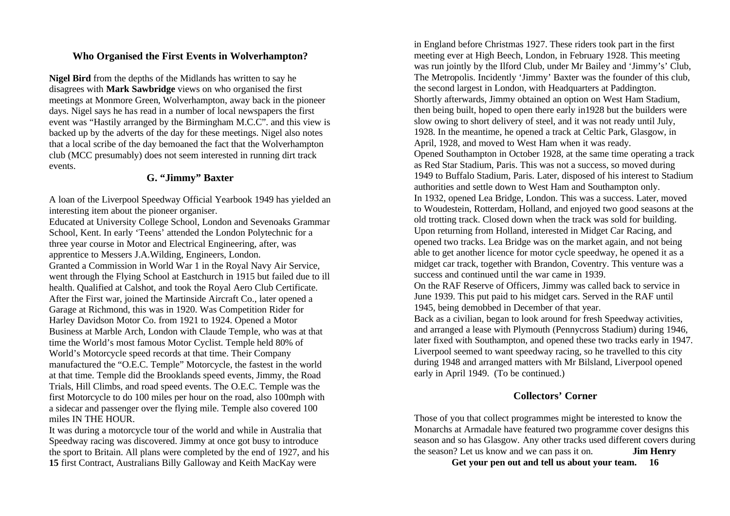## **Who Organised the First Events in Wolverhampton?**

**Nigel Bird** from the depths of the Midlands has written to say he disagrees with **Mark Sawbridge** views on who organised the first meetings at Monmore Green, Wolverhampton, away back in the pioneer days. Nigel says he has read in a number of local newspapers the first event was "Hastily arranged by the Birmingham M.C.C". and this view is backed up by the adverts of the day for these meetings. Nigel also notes that a local scribe of the day bemoaned the fact that the Wolverhampton club (MCC presumably) does not seem interested in running dirt track events.

## **G. "Jimmy" Baxter**

A loan of the Liverpool Speedway Official Yearbook 1949 has yielded an interesting item about the pioneer organiser.

Educated at University College School, London and Sevenoaks Grammar School, Kent. In early 'Teens' attended the London Polytechnic for a three year course in Motor and Electrical Engineering, after, was apprentice to Messers J.A.Wilding, Engineers, London. Granted a Commission in World War 1 in the Royal Navy Air Service, went through the Flying School at Eastchurch in 1915 but failed due to ill health. Qualified at Calshot, and took the Royal Aero Club Certificate. After the First war, joined the Martinside Aircraft Co., later opened a Garage at Richmond, this was in 1920. Was Competition Rider for Harley Davidson Motor Co. from 1921 to 1924. Opened a Motor Business at Marble Arch, London with Claude Temple, who was at that time the World's most famous Motor Cyclist. Temple held 80% of World's Motorcycle speed records at that time. Their Company manufactured the "O.E.C. Temple" Motorcycle, the fastest in the world at that time. Temple did the Brooklands speed events, Jimmy, the Road Trials, Hill Climbs, and road speed events. The O.E.C. Temple was the first Motorcycle to do 100 miles per hour on the road, also 100mph with a sidecar and passenger over the flying mile. Temple also covered 100 miles IN THE HOUR.

It was during a motorcycle tour of the world and while in Australia that Speedway racing was discovered. Jimmy at once got busy to introduce the sport to Britain. All plans were completed by the end of 1927, and his **15** first Contract, Australians Billy Galloway and Keith MacKay were

in England before Christmas 1927. These riders took part in the first meeting ever at High Beech, London, in February 1928. This meeting was run jointly by the Ilford Club, under Mr Bailey and 'Jimmy's' Club, The Metropolis. Incidently 'Jimmy' Baxter was the founder of this club, the second largest in London, with Headquarters at Paddington. Shortly afterwards, Jimmy obtained an option on West Ham Stadium, then being built, hoped to open there early in1928 but the builders were slow owing to short delivery of steel, and it was not ready until July, 1928. In the meantime, he opened a track at Celtic Park, Glasgow, in April, 1928, and moved to West Ham when it was ready. Opened Southampton in October 1928, at the same time operating a track as Red Star Stadium, Paris. This was not a success, so moved during 1949 to Buffalo Stadium, Paris. Later, disposed of his interest to Stadium authorities and settle down to West Ham and Southampton only. In 1932, opened Lea Bridge, London. This was a success. Later, moved to Woudestein, Rotterdam, Holland, and enjoyed two good seasons at the old trotting track. Closed down when the track was sold for building. Upon returning from Holland, interested in Midget Car Racing, and opened two tracks. Lea Bridge was on the market again, and not being able to get another licence for motor cycle speedway, he opened it as a midget car track, together with Brandon, Coventry. This venture was a success and continued until the war came in 1939. On the RAF Reserve of Officers, Jimmy was called back to service in June 1939. This put paid to his midget cars. Served in the RAF until 1945, being demobbed in December of that year.

Back as a civilian, began to look around for fresh Speedway activities, and arranged a lease with Plymouth (Pennycross Stadium) during 1946, later fixed with Southampton, and opened these two tracks early in 1947. Liverpool seemed to want speedway racing, so he travelled to this city during 1948 and arranged matters with Mr Bilsland, Liverpool opened early in April 1949. (To be continued.)

# **Collectors' Corner**

Those of you that collect programmes might be interested to know the Monarchs at Armadale have featured two programme cover designs this season and so has Glasgow. Any other tracks used different covers during the season? Let us know and we can pass it on. **Jim Henry**

**Get your pen out and tell us about your team. 16**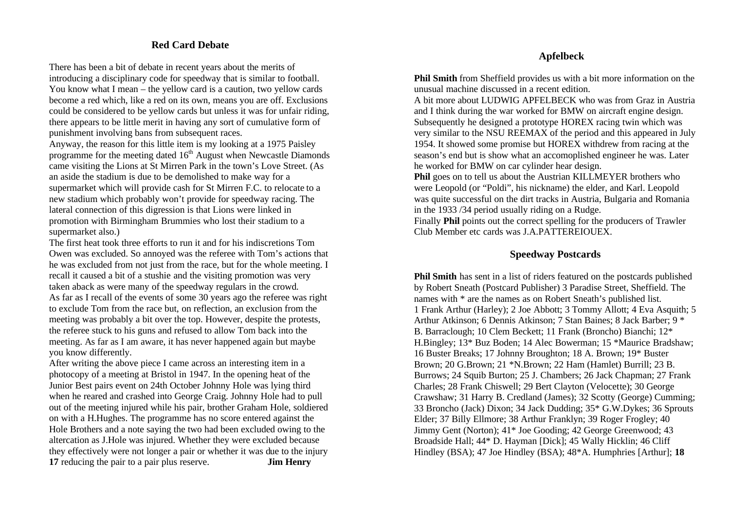## **Red Card Debate**

There has been a bit of debate in recent years about the merits of introducing a disciplinary code for speedway that is similar to football. You know what I mean – the yellow card is a caution, two yellow cards become a red which, like a red on its own, means you are off. Exclusions could be considered to be yellow cards but unless it was for unfair riding, there appears to be little merit in having any sort of cumulative form of punishment involving bans from subsequent races.

Anyway, the reason for this little item is my looking at a 1975 Paisley programme for the meeting dated  $16<sup>th</sup>$  August when Newcastle Diamonds came visiting the Lions at St Mirren Park in the town's Love Street. (As an aside the stadium is due to be demolished to make way for a supermarket which will provide cash for St Mirren F.C. to relocate to a new stadium which probably won't provide for speedway racing. The lateral connection of this digression is that Lions were linked in promotion with Birmingham Brummies who lost their stadium to a supermarket also.)

The first heat took three efforts to run it and for his indiscretions Tom Owen was excluded. So annoyed was the referee with Tom's actions that he was excluded from not just from the race, but for the whole meeting. I recall it caused a bit of a stushie and the visiting promotion was very taken aback as were many of the speedway regulars in the crowd. As far as I recall of the events of some 30 years ago the referee was right to exclude Tom from the race but, on reflection, an exclusion from the meeting was probably a bit over the top. However, despite the protests, the referee stuck to his guns and refused to allow Tom back into the meeting. As far as I am aware, it has never happened again but maybe you know differently.

After writing the above piece I came across an interesting item in a photocopy of a meeting at Bristol in 1947. In the opening heat of the Junior Best pairs event on 24th October Johnny Hole was lying third when he reared and crashed into George Craig. Johnny Hole had to pull out of the meeting injured while his pair, brother Graham Hole, soldiered on with a H.Hughes. The programme has no score entered against the Hole Brothers and a note saying the two had been excluded owing to the altercation as J.Hole was injured. Whether they were excluded because they effectively were not longer a pair or whether it was due to the injury **17** reducing the pair to a pair plus reserve. **Jim Henry**

## **Apfelbeck**

**Phil Smith** from Sheffield provides us with a bit more information on the unusual machine discussed in a recent edition.

A bit more about LUDWIG APFELBECK who was from Graz in Austria and I think during the war worked for BMW on aircraft engine design. Subsequently he designed a prototype HOREX racing twin which was very similar to the NSU REEMAX of the period and this appeared in July 1954. It showed some promise but HOREX withdrew from racing at the season's end but is show what an accomoplished engineer he was. Later he worked for BMW on car cylinder hear design.

**Phil** goes on to tell us about the Austrian KILLMEYER brothers who were Leopold (or "Poldi", his nickname) the elder, and Karl. Leopold was quite successful on the dirt tracks in Austria, Bulgaria and Romania in the 1933 /34 period usually riding on a Rudge.

Finally **Phil** points out the correct spelling for the producers of Trawler Club Member etc cards was J.A.PATTEREIOUEX.

# **Speedway Postcards**

**Phil Smith** has sent in a list of riders featured on the postcards published by Robert Sneath (Postcard Publisher) 3 Paradise Street, Sheffield. The names with \* are the names as on Robert Sneath's published list. 1 Frank Arthur (Harley); 2 Joe Abbott; 3 Tommy Allott; 4 Eva Asquith; 5 Arthur Atkinson; 6 Dennis Atkinson; 7 Stan Baines; 8 Jack Barber; 9 \* B. Barraclough; 10 Clem Beckett; 11 Frank (Broncho) Bianchi; 12\* H.Bingley; 13\* Buz Boden; 14 Alec Bowerman; 15 \*Maurice Bradshaw; 16 Buster Breaks; 17 Johnny Broughton; 18 A. Brown; 19\* Buster Brown; 20 G.Brown; 21 \*N.Brown; 22 Ham (Hamlet) Burrill; 23 B. Burrows; 24 Squib Burton; 25 J. Chambers; 26 Jack Chapman; 27 Frank Charles; 28 Frank Chiswell; 29 Bert Clayton (Velocette); 30 George Crawshaw; 31 Harry B. Credland (James); 32 Scotty (George) Cumming; 33 Broncho (Jack) Dixon; 34 Jack Dudding; 35\* G.W.Dykes; 36 Sprouts Elder; 37 Billy Ellmore; 38 Arthur Franklyn; 39 Roger Frogley; 40 Jimmy Gent (Norton); 41\* Joe Gooding; 42 George Greenwood; 43 Broadside Hall; 44\* D. Hayman [Dick]; 45 Wally Hicklin; 46 Cliff Hindley (BSA); 47 Joe Hindley (BSA); 48\*A. Humphries [Arthur]; **18**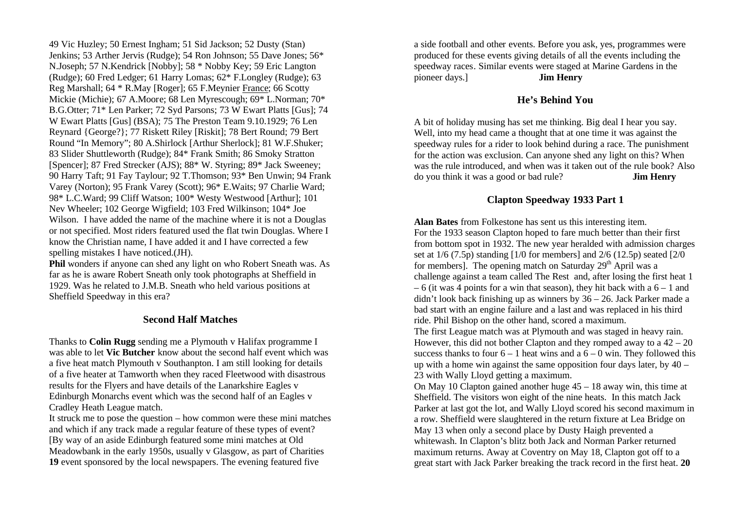49 Vic Huzley; 50 Ernest Ingham; 51 Sid Jackson; 52 Dusty (Stan) Jenkins; 53 Arther Jervis (Rudge); 54 Ron Johnson; 55 Dave Jones; 56\* N.Joseph; 57 N.Kendrick [Nobby]; 58 \* Nobby Key; 59 Eric Langton (Rudge); 60 Fred Ledger; 61 Harry Lomas; 62\* F.Longley (Rudge); 63 Reg Marshall; 64 \* R.May [Roger]; 65 F.Meynier France; 66 Scotty Mickie (Michie); 67 A.Moore; 68 Len Myrescough; 69\* L.Norman; 70\* B.G.Otter; 71\* Len Parker; 72 Syd Parsons; 73 W Ewart Platts [Gus]; 74 W Ewart Platts [Gus] (BSA); 75 The Preston Team 9.10.1929; 76 Len Reynard {George?}; 77 Riskett Riley [Riskit]; 78 Bert Round; 79 Bert Round "In Memory"; 80 A.Shirlock [Arthur Sherlock]; 81 W.F.Shuker; 83 Slider Shuttleworth (Rudge); 84\* Frank Smith; 86 Smoky Stratton [Spencer]; 87 Fred Strecker (AJS); 88\* W. Styring; 89\* Jack Sweeney; 90 Harry Taft; 91 Fay Taylour; 92 T.Thomson; 93\* Ben Unwin; 94 Frank Varey (Norton); 95 Frank Varey (Scott); 96\* E.Waits; 97 Charlie Ward; 98\* L.C.Ward; 99 Cliff Watson; 100\* Westy Westwood [Arthur]; 101 Nev Wheeler; 102 George Wigfield; 103 Fred Wilkinson; 104\* Joe Wilson. I have added the name of the machine where it is not a Douglas or not specified. Most riders featured used the flat twin Douglas. Where I know the Christian name, I have added it and I have corrected a few spelling mistakes I have noticed.(JH).

**Phil** wonders if anyone can shed any light on who Robert Sneath was. As far as he is aware Robert Sneath only took photographs at Sheffield in 1929. Was he related to J.M.B. Sneath who held various positions at Sheffield Speedway in this era?

## **Second Half Matches**

Thanks to **Colin Rugg** sending me a Plymouth v Halifax programme I was able to let **Vic Butcher** know about the second half event which was a five heat match Plymouth v Southanpton. I am still looking for details of a five heater at Tamworth when they raced Fleetwood with disastrous results for the Flyers and have details of the Lanarkshire Eagles v Edinburgh Monarchs event which was the second half of an Eagles v Cradley Heath League match.

It struck me to pose the question – how common were these mini matches and which if any track made a regular feature of these types of event? [By way of an aside Edinburgh featured some mini matches at Old Meadowbank in the early 1950s, usually v Glasgow, as part of Charities **19** event sponsored by the local newspapers. The evening featured five

a side football and other events. Before you ask, yes, programmes were produced for these events giving details of all the events including the speedway races. Similar events were staged at Marine Gardens in the pioneer days.] **Jim Henry**

### **He's Behind You**

A bit of holiday musing has set me thinking. Big deal I hear you say. Well, into my head came a thought that at one time it was against the speedway rules for a rider to look behind during a race. The punishment for the action was exclusion. Can anyone shed any light on this? When was the rule introduced, and when was it taken out of the rule book? Also do you think it was a good or bad rule? **Jim Henry**

## **Clapton Speedway 1933 Part 1**

**Alan Bates** from Folkestone has sent us this interesting item. For the 1933 season Clapton hoped to fare much better than their first from bottom spot in 1932. The new year heralded with admission charges set at  $1/6$  (7.5p) standing [1/0 for members] and  $2/6$  (12.5p) seated [2/0 for members]. The opening match on Saturday  $29<sup>th</sup>$  April was a challenge against a team called The Rest and, after losing the first heat 1  $-6$  (it was 4 points for a win that season), they hit back with a  $6 - 1$  and didn't look back finishing up as winners by 36 – 26. Jack Parker made a bad start with an engine failure and a last and was replaced in his third ride. Phil Bishop on the other hand, scored a maximum. The first League match was at Plymouth and was staged in heavy rain. However, this did not bother Clapton and they romped away to a  $42 - 20$ 

success thanks to four  $6 - 1$  heat wins and a  $6 - 0$  win. They followed this up with a home win against the same opposition four days later, by 40 – 23 with Wally Lloyd getting a maximum.

On May 10 Clapton gained another huge 45 – 18 away win, this time at Sheffield. The visitors won eight of the nine heats. In this match Jack Parker at last got the lot, and Wally Lloyd scored his second maximum in a row. Sheffield were slaughtered in the return fixture at Lea Bridge on May 13 when only a second place by Dusty Haigh prevented a whitewash. In Clapton's blitz both Jack and Norman Parker returned maximum returns. Away at Coventry on May 18, Clapton got off to a great start with Jack Parker breaking the track record in the first heat. **20**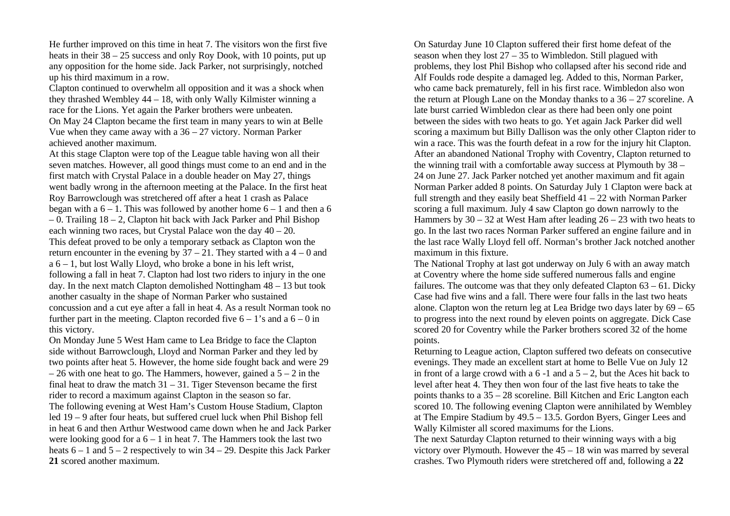He further improved on this time in heat 7. The visitors won the first five heats in their  $38 - 25$  success and only Roy Dook, with 10 points, put up any opposition for the home side. Jack Parker, not surprisingly, notched up his third maximum in a row.

Clapton continued to overwhelm all opposition and it was a shock when they thrashed Wembley 44 – 18, with only Wally Kilmister winning a race for the Lions. Yet again the Parker brothers were unbeaten. On May 24 Clapton became the first team in many years to win at Belle Vue when they came away with a 36 – 27 victory. Norman Parker achieved another maximum.

At this stage Clapton were top of the League table having won all their seven matches. However, all good things must come to an end and in the first match with Crystal Palace in a double header on May 27, things went badly wrong in the afternoon meeting at the Palace. In the first heat Roy Barrowclough was stretchered off after a heat 1 crash as Palace began with a  $6 - 1$ . This was followed by another home  $6 - 1$  and then a 6 – 0. Trailing 18 – 2, Clapton hit back with Jack Parker and Phil Bishop each winning two races, but Crystal Palace won the day  $40 - 20$ . This defeat proved to be only a temporary setback as Clapton won the return encounter in the evening by  $37 - 21$ . They started with a  $4 - 0$  and  $a 6 - 1$ , but lost Wally Lloyd, who broke a bone in his left wrist, following a fall in heat 7. Clapton had lost two riders to injury in the one day. In the next match Clapton demolished Nottingham 48 – 13 but took another casualty in the shape of Norman Parker who sustained concussion and a cut eye after a fall in heat 4. As a result Norman took no further part in the meeting. Clapton recorded five  $6 - 1$ 's and a  $6 - 0$  in this victory.

On Monday June 5 West Ham came to Lea Bridge to face the Clapton side without Barrowclough, Lloyd and Norman Parker and they led by two points after heat 5. However, the home side fought back and were 29  $-26$  with one heat to go. The Hammers, however, gained a  $5 - 2$  in the final heat to draw the match  $31 - 31$ . Tiger Stevenson became the first rider to record a maximum against Clapton in the season so far. The following evening at West Ham's Custom House Stadium, Clapton led 19 – 9 after four heats, but suffered cruel luck when Phil Bishop fell in heat 6 and then Arthur Westwood came down when he and Jack Parker were looking good for a  $6 - 1$  in heat 7. The Hammers took the last two heats 6 – 1 and 5 – 2 respectively to win 34 – 29. Despite this Jack Parker **21** scored another maximum.

On Saturday June 10 Clapton suffered their first home defeat of the season when they lost  $27 - 35$  to Wimbledon. Still plagued with problems, they lost Phil Bishop who collapsed after his second ride and Alf Foulds rode despite a damaged leg. Added to this, Norman Parker, who came back prematurely, fell in his first race. Wimbledon also won the return at Plough Lane on the Monday thanks to a 36 – 27 scoreline. A late burst carried Wimbledon clear as there had been only one point between the sides with two heats to go. Yet again Jack Parker did well scoring a maximum but Billy Dallison was the only other Clapton rider to win a race. This was the fourth defeat in a row for the injury hit Clapton. After an abandoned National Trophy with Coventry, Clapton returned to the winning trail with a comfortable away success at Plymouth by 38 – 24 on June 27. Jack Parker notched yet another maximum and fit again Norman Parker added 8 points. On Saturday July 1 Clapton were back at full strength and they easily beat Sheffield 41 – 22 with Norman Parker scoring a full maximum. July 4 saw Clapton go down narrowly to the Hammers by 30 – 32 at West Ham after leading 26 – 23 with two heats to go. In the last two races Norman Parker suffered an engine failure and in the last race Wally Lloyd fell off. Norman's brother Jack notched another maximum in this fixture.

The National Trophy at last got underway on July 6 with an away match at Coventry where the home side suffered numerous falls and engine failures. The outcome was that they only defeated Clapton  $63 - 61$ . Dicky Case had five wins and a fall. There were four falls in the last two heats alone. Clapton won the return leg at Lea Bridge two days later by  $69 - 65$ to progress into the next round by eleven points on aggregate. Dick Case scored 20 for Coventry while the Parker brothers scored 32 of the home points.

Returning to League action, Clapton suffered two defeats on consecutive evenings. They made an excellent start at home to Belle Vue on July 12 in front of a large crowd with a  $6 - 1$  and a  $5 - 2$ , but the Aces hit back to level after heat 4. They then won four of the last five heats to take the points thanks to a 35 – 28 scoreline. Bill Kitchen and Eric Langton each scored 10. The following evening Clapton were annihilated by Wembley at The Empire Stadium by 49.5 – 13.5. Gordon Byers, Ginger Lees and Wally Kilmister all scored maximums for the Lions.

The next Saturday Clapton returned to their winning ways with a big victory over Plymouth. However the 45 – 18 win was marred by several crashes. Two Plymouth riders were stretchered off and, following a **22**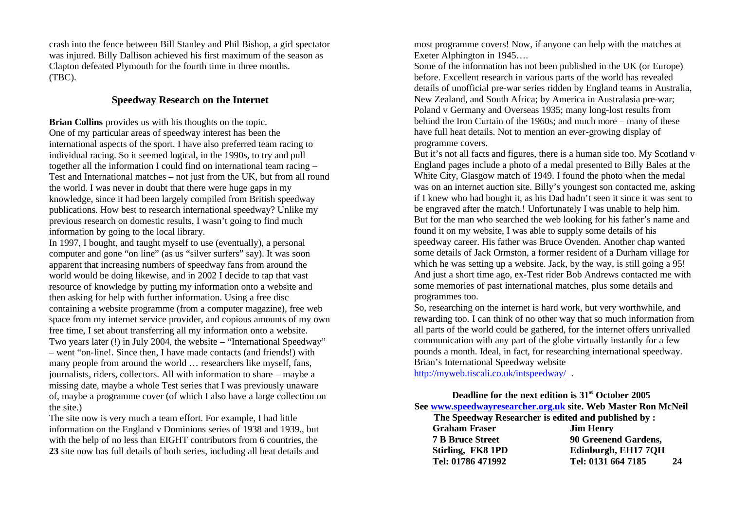crash into the fence between Bill Stanley and Phil Bishop, a girl spectator was injured. Billy Dallison achieved his first maximum of the season as Clapton defeated Plymouth for the fourth time in three months. (TBC).

# **Speedway Research on the Internet**

**Brian Collins** provides us with his thoughts on the topic. One of my particular areas of speedway interest has been the international aspects of the sport. I have also preferred team racing to individual racing. So it seemed logical, in the 1990s, to try and pull together all the information I could find on international team racing – Test and International matches – not just from the UK, but from all round the world. I was never in doubt that there were huge gaps in my knowledge, since it had been largely compiled from British speedway publications. How best to research international speedway? Unlike my previous research on domestic results, I wasn't going to find much information by going to the local library.

In 1997, I bought, and taught myself to use (eventually), a personal computer and gone "on line" (as us "silver surfers" say). It was soon apparent that increasing numbers of speedway fans from around the world would be doing likewise, and in 2002 I decide to tap that vast resource of knowledge by putting my information onto a website and then asking for help with further information. Using a free disc containing a website programme (from a computer magazine), free web space from my internet service provider, and copious amounts of my own free time, I set about transferring all my information onto a website. Two years later (!) in July 2004, the website – "International Speedway" – went "on-line!. Since then, I have made contacts (and friends!) with many people from around the world … researchers like myself, fans, journalists, riders, collectors. All with information to share – maybe a missing date, maybe a whole Test series that I was previously unaware of, maybe a programme cover (of which I also have a large collection on the site.)

The site now is very much a team effort. For example, I had little information on the England v Dominions series of 1938 and 1939., but with the help of no less than EIGHT contributors from 6 countries, the **23** site now has full details of both series, including all heat details and most programme covers! Now, if anyone can help with the matches at Exeter Alphington in 1945….

Some of the information has not been published in the UK (or Europe) before. Excellent research in various parts of the world has revealed details of unofficial pre-war series ridden by England teams in Australia, New Zealand, and South Africa; by America in Australasia pre-war; Poland v Germany and Overseas 1935; many long-lost results from behind the Iron Curtain of the 1960s; and much more – many of these have full heat details. Not to mention an ever-growing display of programme covers.

But it's not all facts and figures, there is a human side too. My Scotland v England pages include a photo of a medal presented to Billy Bales at the White City, Glasgow match of 1949. I found the photo when the medal was on an internet auction site. Billy's youngest son contacted me, asking if I knew who had bought it, as his Dad hadn't seen it since it was sent to be engraved after the match.! Unfortunately I was unable to help him. But for the man who searched the web looking for his father's name and found it on my website, I was able to supply some details of his speedway career. His father was Bruce Ovenden. Another chap wanted some details of Jack Ormston, a former resident of a Durham village for which he was setting up a website. Jack, by the way, is still going a 95! And just a short time ago, ex-Test rider Bob Andrews contacted me with some memories of past international matches, plus some details and programmes too.

So, researching on the internet is hard work, but very worthwhile, and rewarding too. I can think of no other way that so much information from all parts of the world could be gathered, for the internet offers unrivalled communication with any part of the globe virtually instantly for a few pounds a month. Ideal, in fact, for researching international speedway. Brian's International Speedway website

http://myweb.tiscali.co.uk/intspeedway/ .

# **Deadline for the next edition is 31st October 2005 See www.speedwayresearcher.org.uk site. Web Master Ron McNeil**

| The Speedway Researcher is edited and published by : |                          |
|------------------------------------------------------|--------------------------|
| <b>Graham Fraser</b>                                 | <b>Jim Henry</b>         |
| <b>7 B Bruce Street</b>                              | 90 Greenend Gardens,     |
| Stirling, FK8 1PD                                    | Edinburgh, EH17 7QH      |
| Tel: 01786 471992                                    | Tel: 0131 664 7185<br>24 |